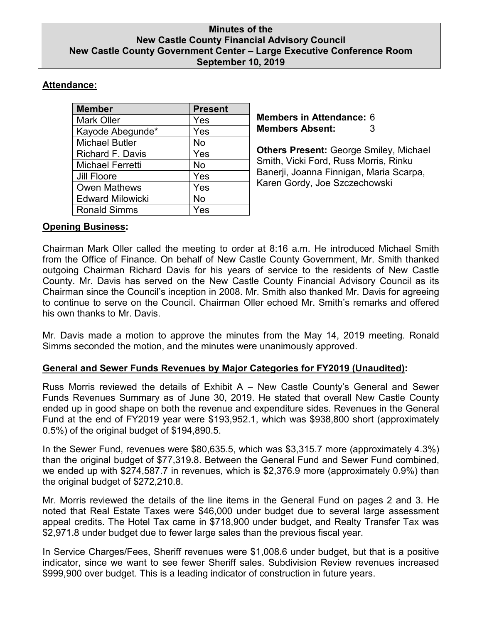### **Minutes of the New Castle County Financial Advisory Council New Castle County Government Center – Large Executive Conference Room September 10, 2019**

# **Attendance:**

| <b>Member</b>           | <b>Present</b> |
|-------------------------|----------------|
| <b>Mark Oller</b>       | Yes            |
| Kayode Abegunde*        | Yes            |
| <b>Michael Butler</b>   | No             |
| Richard F. Davis        | Yes            |
| <b>Michael Ferretti</b> | No             |
| <b>Jill Floore</b>      | Yes            |
| <b>Owen Mathews</b>     | Yes            |
| <b>Edward Milowicki</b> | No             |
| <b>Ronald Simms</b>     | Yes            |

**Members in Attendance:** 6 **Members Absent:** 3

**Others Present:** George Smiley, Michael Smith, Vicki Ford, Russ Morris, Rinku Banerji, Joanna Finnigan, Maria Scarpa, Karen Gordy, Joe Szczechowski

# **Opening Business:**

Chairman Mark Oller called the meeting to order at 8:16 a.m. He introduced Michael Smith from the Office of Finance. On behalf of New Castle County Government, Mr. Smith thanked outgoing Chairman Richard Davis for his years of service to the residents of New Castle County. Mr. Davis has served on the New Castle County Financial Advisory Council as its Chairman since the Council's inception in 2008. Mr. Smith also thanked Mr. Davis for agreeing to continue to serve on the Council. Chairman Oller echoed Mr. Smith's remarks and offered his own thanks to Mr. Davis.

Mr. Davis made a motion to approve the minutes from the May 14, 2019 meeting. Ronald Simms seconded the motion, and the minutes were unanimously approved.

# **General and Sewer Funds Revenues by Major Categories for FY2019 (Unaudited):**

Russ Morris reviewed the details of Exhibit A – New Castle County's General and Sewer Funds Revenues Summary as of June 30, 2019. He stated that overall New Castle County ended up in good shape on both the revenue and expenditure sides. Revenues in the General Fund at the end of FY2019 year were \$193,952.1, which was \$938,800 short (approximately 0.5%) of the original budget of \$194,890.5.

In the Sewer Fund, revenues were \$80,635.5, which was \$3,315.7 more (approximately 4.3%) than the original budget of \$77,319.8. Between the General Fund and Sewer Fund combined, we ended up with \$274,587.7 in revenues, which is \$2,376.9 more (approximately 0.9%) than the original budget of \$272,210.8.

Mr. Morris reviewed the details of the line items in the General Fund on pages 2 and 3. He noted that Real Estate Taxes were \$46,000 under budget due to several large assessment appeal credits. The Hotel Tax came in \$718,900 under budget, and Realty Transfer Tax was \$2,971.8 under budget due to fewer large sales than the previous fiscal year.

In Service Charges/Fees, Sheriff revenues were \$1,008.6 under budget, but that is a positive indicator, since we want to see fewer Sheriff sales. Subdivision Review revenues increased \$999,900 over budget. This is a leading indicator of construction in future years.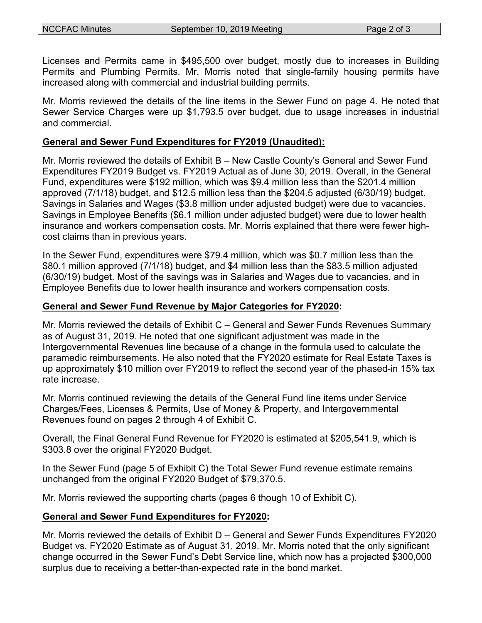Licenses and Permits came in \$495,500 over budget, mostly due to increases in Building Permits and Plumbing Permits. Mr. Morris noted that single-family housing permits have increased along with commercial and industrial building permits.

Mr. Morris reviewed the details of the line items in the Sewer Fund on page 4. He noted that Sewer Service Charges were up \$1,793.5 over budget, due to usage increases in industrial and commercial.

#### **General and Sewer Fund Expenditures for FY2019 (Unaudited):**

Mr. Morris reviewed the details of Exhibit B – New Castle County's General and Sewer Fund Expenditures FY2019 Budget vs. FY2019 Actual as of June 30, 2019. Overall, in the General Fund, expenditures were \$192 million, which was \$9.4 million less than the \$201.4 million approved (7/1/18) budget, and \$12.5 million less than the \$204.5 adjusted (6/30/19) budget. Savings in Salaries and Wages (\$3.8 million under adjusted budget) were due to vacancies. Savings in Employee Benefits (\$6.1 million under adjusted budget) were due to lower health insurance and workers compensation costs. Mr. Morris explained that there were fewer highcost claims than in previous years.

In the Sewer Fund, expenditures were \$79.4 million, which was \$0.7 million less than the \$80.1 million approved (7/1/18) budget, and \$4 million less than the \$83.5 million adjusted (6/30/19) budget. Most of the savings was in Salaries and Wages due to vacancies, and in Employee Benefits due to lower health insurance and workers compensation costs.

### **General and Sewer Fund Revenue by Major Categories for FY2020:**

Mr. Morris reviewed the details of Exhibit C – General and Sewer Funds Revenues Summary as of August 31, 2019. He noted that one significant adjustment was made in the Intergovernmental Revenues line because of a change in the formula used to calculate the paramedic reimbursements. He also noted that the FY2020 estimate for Real Estate Taxes is up approximately \$10 million over FY2019 to reflect the second year of the phased-in 15% tax rate increase.

Mr. Morris continued reviewing the details of the General Fund line items under Service Charges/Fees, Licenses & Permits, Use of Money & Property, and Intergovernmental Revenues found on pages 2 through 4 of Exhibit C.

Overall, the Final General Fund Revenue for FY2020 is estimated at \$205,541.9, which is \$303.8 over the original FY2020 Budget.

In the Sewer Fund (page 5 of Exhibit C) the Total Sewer Fund revenue estimate remains unchanged from the original FY2020 Budget of \$79,370.5.

Mr. Morris reviewed the supporting charts (pages 6 though 10 of Exhibit C).

# **General and Sewer Fund Expenditures for FY2020:**

Mr. Morris reviewed the details of Exhibit D – General and Sewer Funds Expenditures FY2020 Budget vs. FY2020 Estimate as of August 31, 2019. Mr. Morris noted that the only significant change occurred in the Sewer Fund's Debt Service line, which now has a projected \$300,000 surplus due to receiving a better-than-expected rate in the bond market.